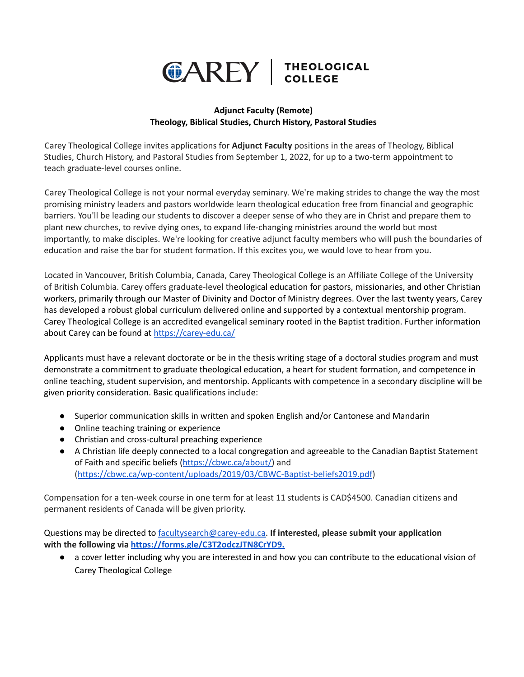

## **Adjunct Faculty (Remote) Theology, Biblical Studies, Church History, Pastoral Studies**

Carey Theological College invites applications for **Adjunct Faculty** positions in the areas of Theology, Biblical Studies, Church History, and Pastoral Studies from September 1, 2022, for up to a two-term appointment to teach graduate-level courses online.

Carey Theological College is not your normal everyday seminary. We're making strides to change the way the most promising ministry leaders and pastors worldwide learn theological education free from financial and geographic barriers. You'll be leading our students to discover a deeper sense of who they are in Christ and prepare them to plant new churches, to revive dying ones, to expand life-changing ministries around the world but most importantly, to make disciples. We're looking for creative adjunct faculty members who will push the boundaries of education and raise the bar for student formation. If this excites you, we would love to hear from you.

Located in Vancouver, British Columbia, Canada, Carey Theological College is an Affiliate College of the University of British Columbia. Carey offers graduate-level theological education for pastors, missionaries, and other Christian workers, primarily through our Master of Divinity and Doctor of Ministry degrees. Over the last twenty years, Carey has developed a robust global curriculum delivered online and supported by a contextual mentorship program. Carey Theological College is an accredited evangelical seminary rooted in the Baptist tradition. Further information about Carey can be found at <https://carey-edu.ca/>

Applicants must have a relevant doctorate or be in the thesis writing stage of a doctoral studies program and must demonstrate a commitment to graduate theological education, a heart for student formation, and competence in online teaching, student supervision, and mentorship. Applicants with competence in a secondary discipline will be given priority consideration. Basic qualifications include:

- Superior communication skills in written and spoken English and/or Cantonese and Mandarin
- Online teaching training or experience
- Christian and cross-cultural preaching experience
- A Christian life deeply connected to a local congregation and agreeable to the Canadian Baptist Statement of Faith and specific beliefs ([https://cbwc.ca/about/\)](https://cbwc.ca/about/) and (<https://cbwc.ca/wp-content/uploads/2019/03/CBWC-Baptist-beliefs2019.pdf>)

Compensation for a ten-week course in one term for at least 11 students is CAD\$4500. Canadian citizens and permanent residents of Canada will be given priority.

Questions may be directed to [facultysearch@carey-edu.ca.](mailto:facultysearch@carey-edu.ca) **If interested, please submit your application with the following via <https://forms.gle/C3T2odczJTN8CrYD9.>**

● a cover letter including why you are interested in and how you can contribute to the educational vision of Carey Theological College